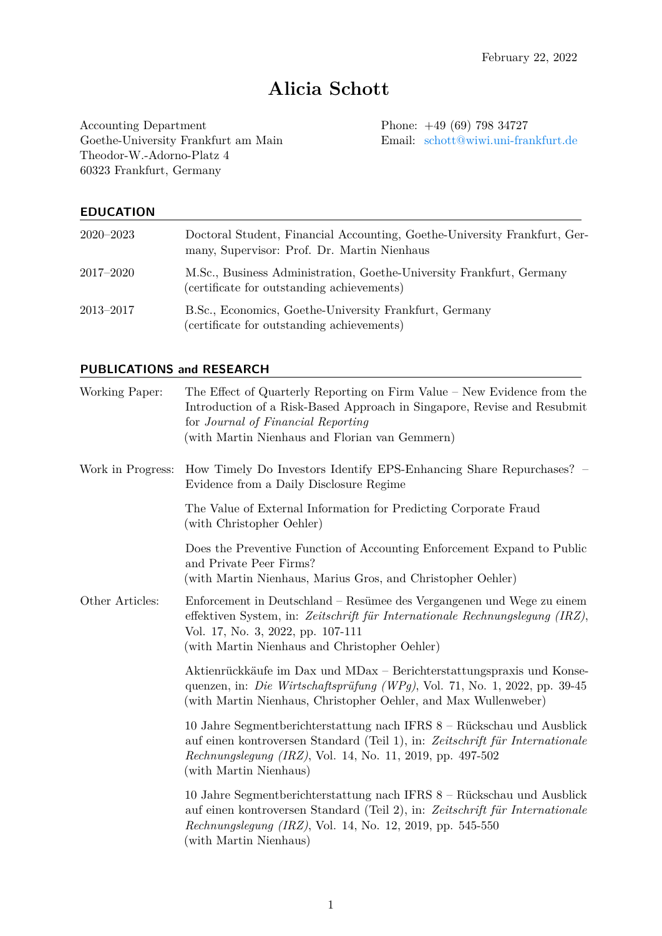# **Alicia Schott**

Accounting Department<br>
Goethe-University Frankfurt am Main<br>
Frankfurt am Main<br>
Email: schott@wiwi.uni-frankfurt.de Goethe-University Frankfurt am Main Theodor-W.-Adorno-Platz 4 60323 Frankfurt, Germany

## **EDUCATION**

| $2020 - 2023$ | Doctoral Student, Financial Accounting, Goethe-University Frankfurt, Ger-<br>many, Supervisor: Prof. Dr. Martin Nienhaus |
|---------------|--------------------------------------------------------------------------------------------------------------------------|
| $2017 - 2020$ | M.Sc., Business Administration, Goethe-University Frankfurt, Germany<br>(certificate for outstanding achievements)       |
| $2013 - 2017$ | B.Sc., Economics, Goethe-University Frankfurt, Germany<br>(certificate for outstanding achievements)                     |

## **PUBLICATIONS and RESEARCH**

| Working Paper:    | The Effect of Quarterly Reporting on Firm Value – New Evidence from the<br>Introduction of a Risk-Based Approach in Singapore, Revise and Resubmit<br>for Journal of Financial Reporting<br>(with Martin Nienhaus and Florian van Gemmern)            |
|-------------------|-------------------------------------------------------------------------------------------------------------------------------------------------------------------------------------------------------------------------------------------------------|
| Work in Progress: | How Timely Do Investors Identify EPS-Enhancing Share Repurchases? -<br>Evidence from a Daily Disclosure Regime                                                                                                                                        |
|                   | The Value of External Information for Predicting Corporate Fraud<br>(with Christopher Oehler)                                                                                                                                                         |
|                   | Does the Preventive Function of Accounting Enforcement Expand to Public<br>and Private Peer Firms?<br>(with Martin Nienhaus, Marius Gros, and Christopher Oehler)                                                                                     |
| Other Articles:   | Enforcement in Deutschland – Resümee des Vergangenen und Wege zu einem<br>effektiven System, in: Zeitschrift für Internationale Rechnungslegung (IRZ),<br>Vol. 17, No. 3, 2022, pp. 107-111<br>(with Martin Nienhaus and Christopher Oehler)          |
|                   | Aktienrückkäufe im Dax und MDax – Berichterstattungspraxis und Konse-<br>quenzen, in: Die Wirtschaftsprüfung (WPg), Vol. 71, No. 1, 2022, pp. 39-45<br>(with Martin Nienhaus, Christopher Oehler, and Max Wullenweber)                                |
|                   | 10 Jahre Segmentberichterstattung nach IFRS 8 – Rückschau und Ausblick<br>auf einen kontroversen Standard (Teil 1), in: Zeitschrift für Internationale<br>Rechnungslegung (IRZ), Vol. 14, No. 11, 2019, pp. 497-502<br>(with Martin Nienhaus)         |
|                   | 10 Jahre Segmentberichterstattung nach IFRS 8 – Rückschau und Ausblick<br>auf einen kontroversen Standard (Teil 2), in: Zeitschrift für Internationale<br><i>Rechnungslegung (IRZ)</i> , Vol. 14, No. 12, 2019, pp. 545-550<br>(with Martin Nienhaus) |